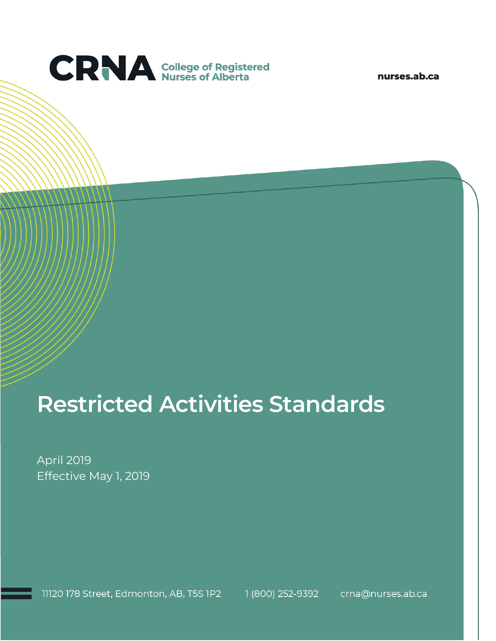

nurses.ab.ca

# **Restricted Activities Standards**

April 2019 Effective May 1, 2019

11120 178 Street, Edmonton, AB, T5S 1P2 1 (800) 252-9392 crna@nurses.ab.ca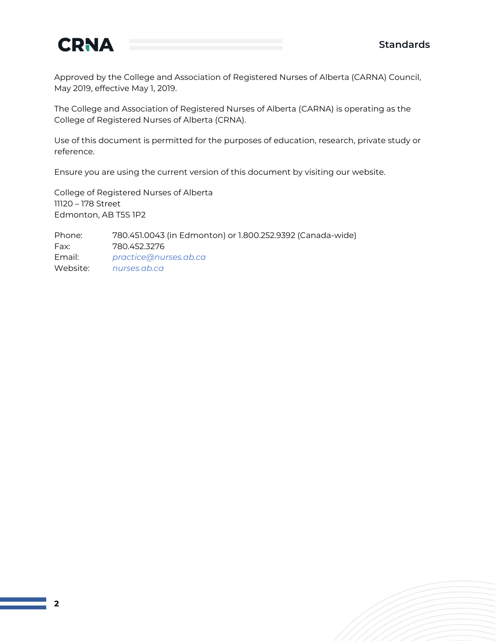

Approved by the College and Association of Registered Nurses of Alberta (CARNA) Council, May 2019, effective May 1, 2019.

The College and Association of Registered Nurses of Alberta (CARNA) is operating as the College of Registered Nurses of Alberta (CRNA).

Use of this document is permitted for the purposes of education, research, private study or reference.

Ensure you are using the current version of this document by visiting our website.

College of Registered Nurses of Alberta 11120 – 178 Street Edmonton, AB T5S 1P2

Phone: 780.451.0043 (in Edmonton) or 1.800.252.9392 (Canada-wide) Fax: 780.452.3276 Email: *[practice@nurses.ab.ca](mailto:practice@nurses.ab.ca)* Website: *[nurses.ab.ca](http://www.nurses.ab.ca/)*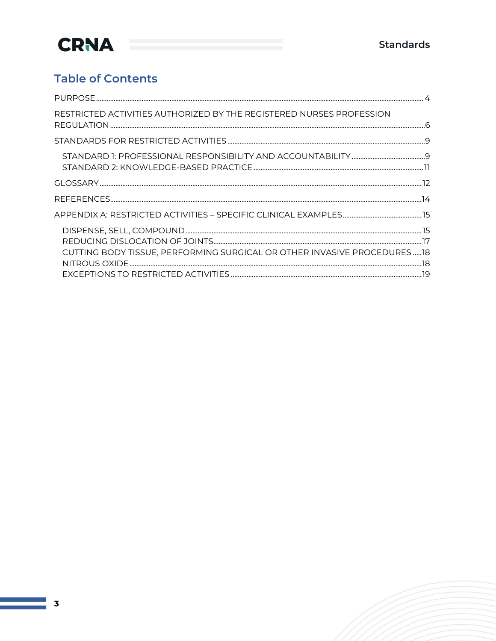### **Table of Contents**

| RESTRICTED ACTIVITIES AUTHORIZED BY THE REGISTERED NURSES PROFESSION    |  |
|-------------------------------------------------------------------------|--|
|                                                                         |  |
|                                                                         |  |
|                                                                         |  |
|                                                                         |  |
|                                                                         |  |
| CUTTING BODY TISSUE, PERFORMING SURGICAL OR OTHER INVASIVE PROCEDURES18 |  |
|                                                                         |  |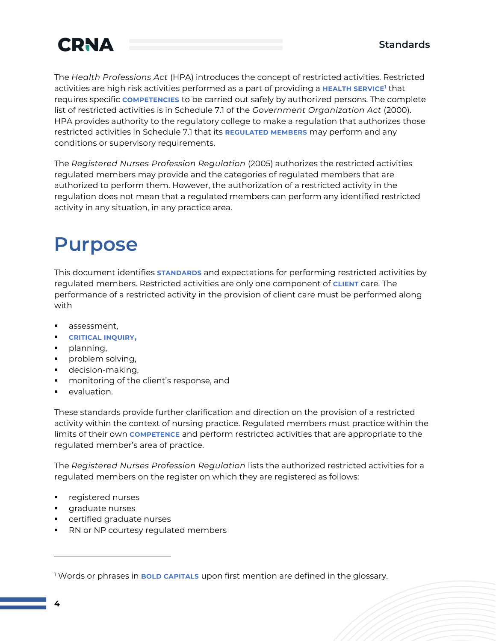

The *Health Professions Act* (HPA) introduces the concept of restricted activities. Restricted activities are high risk activities performed as a part of providing a **HEALTH SERVICE<sup>1</sup>** that requires specific **COMPETENCIES** to be carried out safely by authorized persons. The complete list of restricted activities is in Schedule 7.1 of the *Government Organization Act* (2000). HPA provides authority to the regulatory college to make a regulation that authorizes those restricted activities in Schedule 7.1 that its **REGULATED MEMBERS** may perform and any conditions or supervisory requirements.

The *Registered Nurses Profession Regulation* (2005) authorizes the restricted activities regulated members may provide and the categories of regulated members that are authorized to perform them. However, the authorization of a restricted activity in the regulation does not mean that a regulated members can perform any identified restricted activity in any situation, in any practice area.

### <span id="page-3-0"></span>**Purpose**

This document identifies **STANDARDS** and expectations for performing restricted activities by regulated members. Restricted activities are only one component of **CLIENT** care. The performance of a restricted activity in the provision of client care must be performed along with

- assessment,
- **CRITICAL INQUIRY,**
- planning,
- problem solving,
- decision-making,
- monitoring of the client's response, and
- evaluation.

These standards provide further clarification and direction on the provision of a restricted activity within the context of nursing practice. Regulated members must practice within the limits of their own **COMPETENCE** and perform restricted activities that are appropriate to the regulated member's area of practice.

The *Registered Nurses Profession Regulation* lists the authorized restricted activities for a regulated members on the register on which they are registered as follows:

- registered nurses
- graduate nurses
- certified graduate nurses
- RN or NP courtesy regulated members

<sup>1</sup> Words or phrases in **BOLD CAPITALS** upon first mention are defined in the glossary.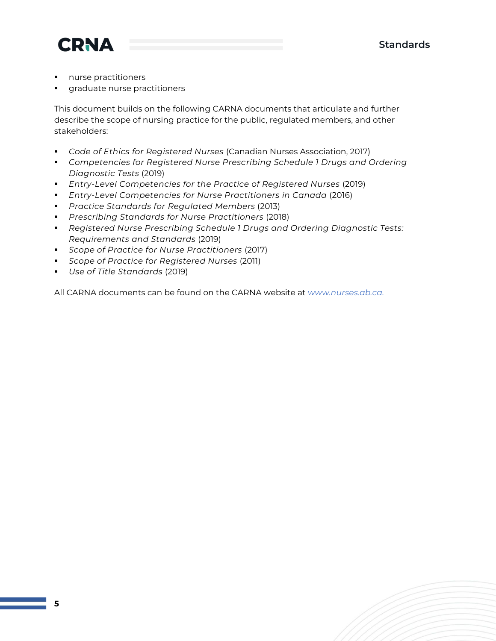



- nurse practitioners
- **·** graduate nurse practitioners

This document builds on the following CARNA documents that articulate and further describe the scope of nursing practice for the public, regulated members, and other stakeholders:

- *Code of Ethics for Registered Nurses* (Canadian Nurses Association, 2017)
- *Competencies for Registered Nurse Prescribing Schedule 1 Drugs and Ordering Diagnostic Tests* (2019)
- *Entry-Level Competencies for the Practice of Registered Nurses* (2019)
- *Entry-Level Competencies for Nurse Practitioners in Canada* (2016)
- *Practice Standards for Regulated Members* (2013)
- *Prescribing Standards for Nurse Practitioners* (2018)
- *Registered Nurse Prescribing Schedule 1 Drugs and Ordering Diagnostic Tests: Requirements and Standards* (2019)
- *Scope of Practice for Nurse Practitioners* (2017)
- *Scope of Practice for Registered Nurses* (2011)
- *Use of Title Standards* (2019)

All CARNA documents can be found on the CARNA website at *[www.nurses.ab.ca.](http://www.nurses.ab.ca/)*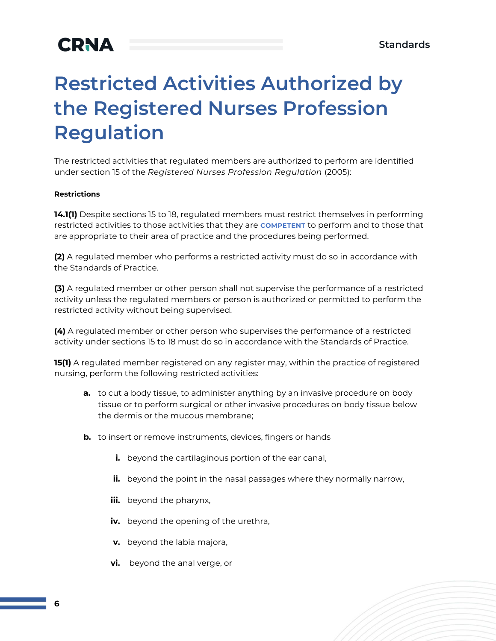## <span id="page-5-0"></span>**Restricted Activities Authorized by the Registered Nurses Profession Regulation**

The restricted activities that regulated members are authorized to perform are identified under section 15 of the *Registered Nurses Profession Regulation* (2005):

#### **Restrictions**

**14.1(1)** Despite sections 15 to 18, regulated members must restrict themselves in performing restricted activities to those activities that they are **COMPETENT** to perform and to those that are appropriate to their area of practice and the procedures being performed.

**(2)** A regulated member who performs a restricted activity must do so in accordance with the Standards of Practice.

**(3)** A regulated member or other person shall not supervise the performance of a restricted activity unless the regulated members or person is authorized or permitted to perform the restricted activity without being supervised.

**(4)** A regulated member or other person who supervises the performance of a restricted activity under sections 15 to 18 must do so in accordance with the Standards of Practice.

**15(1)** A regulated member registered on any register may, within the practice of registered nursing, perform the following restricted activities:

- **a.** to cut a body tissue, to administer anything by an invasive procedure on body tissue or to perform surgical or other invasive procedures on body tissue below the dermis or the mucous membrane;
- **b.** to insert or remove instruments, devices, fingers or hands
	- **i.** beyond the cartilaginous portion of the ear canal,
	- **ii.** beyond the point in the nasal passages where they normally narrow,
	- **iii.** beyond the pharynx,
	- **iv.** beyond the opening of the urethra,
	- **v.** beyond the labia majora,
	- **vi.** beyond the anal verge, or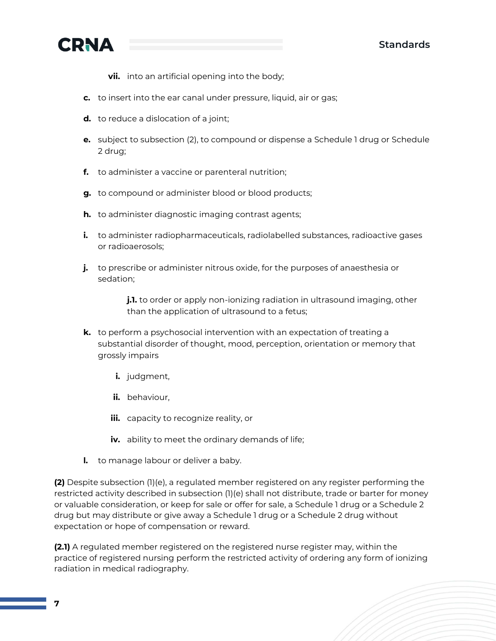



- **vii.** into an artificial opening into the body;
- **c.** to insert into the ear canal under pressure, liquid, air or gas;
- **d.** to reduce a dislocation of a joint;
- **e.** subject to subsection (2), to compound or dispense a Schedule 1 drug or Schedule 2 drug;
- **f.** to administer a vaccine or parenteral nutrition;
- **g.** to compound or administer blood or blood products;
- **h.** to administer diagnostic imaging contrast agents;
- **i.** to administer radiopharmaceuticals, radiolabelled substances, radioactive gases or radioaerosols;
- **j.** to prescribe or administer nitrous oxide, for the purposes of anaesthesia or sedation;

**j.1.** to order or apply non-ionizing radiation in ultrasound imaging, other than the application of ultrasound to a fetus;

- **k.** to perform a psychosocial intervention with an expectation of treating a substantial disorder of thought, mood, perception, orientation or memory that grossly impairs
	- **i.** judgment,
	- **ii.** behaviour,
	- **iii.** capacity to recognize reality, or
	- **iv.** ability to meet the ordinary demands of life;
- **l.** to manage labour or deliver a baby.

**(2)** Despite subsection (1)(e), a regulated member registered on any register performing the restricted activity described in subsection (1)(e) shall not distribute, trade or barter for money or valuable consideration, or keep for sale or offer for sale, a Schedule 1 drug or a Schedule 2 drug but may distribute or give away a Schedule 1 drug or a Schedule 2 drug without expectation or hope of compensation or reward.

**(2.1)** A regulated member registered on the registered nurse register may, within the practice of registered nursing perform the restricted activity of ordering any form of ionizing radiation in medical radiography.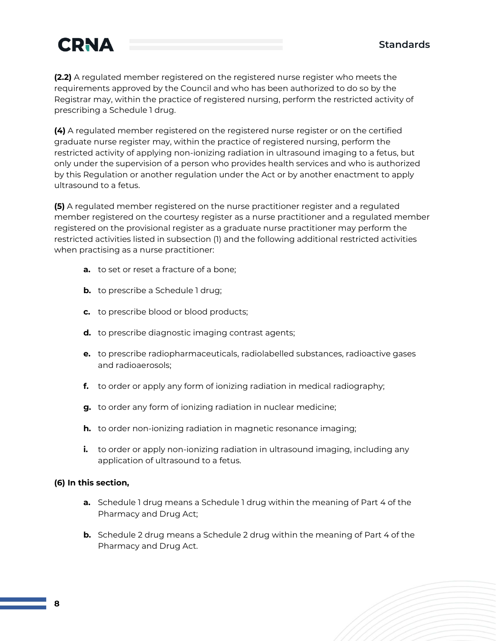

**(2.2)** A regulated member registered on the registered nurse register who meets the requirements approved by the Council and who has been authorized to do so by the Registrar may, within the practice of registered nursing, perform the restricted activity of prescribing a Schedule 1 drug.

**(4)** A regulated member registered on the registered nurse register or on the certified graduate nurse register may, within the practice of registered nursing, perform the restricted activity of applying non-ionizing radiation in ultrasound imaging to a fetus, but only under the supervision of a person who provides health services and who is authorized by this Regulation or another regulation under the Act or by another enactment to apply ultrasound to a fetus.

**(5)** A regulated member registered on the nurse practitioner register and a regulated member registered on the courtesy register as a nurse practitioner and a regulated member registered on the provisional register as a graduate nurse practitioner may perform the restricted activities listed in subsection (1) and the following additional restricted activities when practising as a nurse practitioner:

- **a.** to set or reset a fracture of a bone;
- **b.** to prescribe a Schedule 1 drug;
- **c.** to prescribe blood or blood products;
- **d.** to prescribe diagnostic imaging contrast agents;
- **e.** to prescribe radiopharmaceuticals, radiolabelled substances, radioactive gases and radioaerosols;
- **f.** to order or apply any form of ionizing radiation in medical radiography;
- **g.** to order any form of ionizing radiation in nuclear medicine;
- **h.** to order non-ionizing radiation in magnetic resonance imaging;
- **i.** to order or apply non-ionizing radiation in ultrasound imaging, including any application of ultrasound to a fetus.

#### **(6) In this section,**

- **a.** Schedule 1 drug means a Schedule 1 drug within the meaning of Part 4 of the Pharmacy and Drug Act;
- **b.** Schedule 2 drug means a Schedule 2 drug within the meaning of Part 4 of the Pharmacy and Drug Act.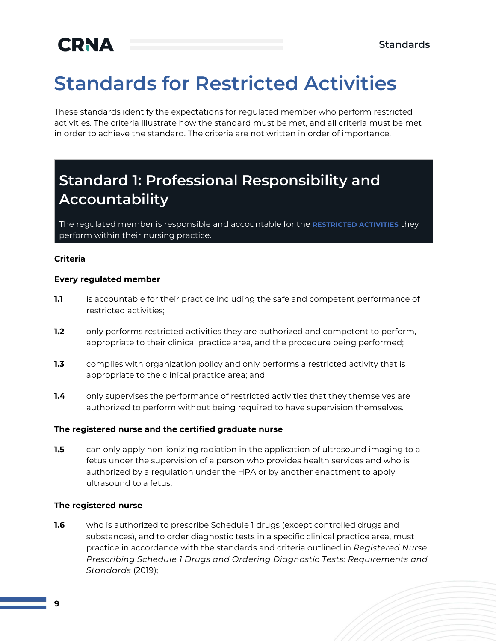## <span id="page-8-0"></span>**Standards for Restricted Activities**

These standards identify the expectations for regulated member who perform restricted activities. The criteria illustrate how the standard must be met, and all criteria must be met in order to achieve the standard. The criteria are not written in order of importance.

### <span id="page-8-1"></span>**Standard 1: Professional Responsibility and Accountability**

The regulated member is responsible and accountable for the **RESTRICTED ACTIVITIES** they perform within their nursing practice.

#### **Criteria**

#### **Every regulated member**

- **1.1** is accountable for their practice including the safe and competent performance of restricted activities;
- **1.2** only performs restricted activities they are authorized and competent to perform, appropriate to their clinical practice area, and the procedure being performed;
- **1.3** complies with organization policy and only performs a restricted activity that is appropriate to the clinical practice area; and
- **1.4** only supervises the performance of restricted activities that they themselves are authorized to perform without being required to have supervision themselves.

#### **The registered nurse and the certified graduate nurse**

**1.5** can only apply non-ionizing radiation in the application of ultrasound imaging to a fetus under the supervision of a person who provides health services and who is authorized by a regulation under the HPA or by another enactment to apply ultrasound to a fetus.

#### **The registered nurse**

**1.6** who is authorized to prescribe Schedule 1 drugs (except controlled drugs and substances), and to order diagnostic tests in a specific clinical practice area, must practice in accordance with the standards and criteria outlined in *Registered Nurse Prescribing Schedule 1 Drugs and Ordering Diagnostic Tests: Requirements and Standards* (2019);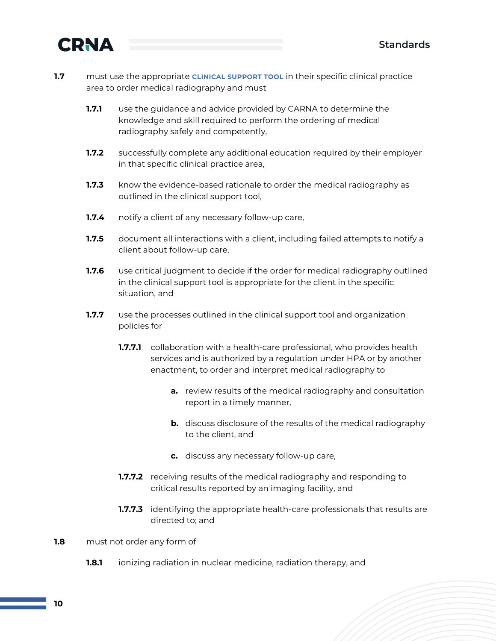

- **1.7** must use the appropriate **CLINICAL SUPPORT TOOL** in their specific clinical practice area to order medical radiography and must
	- **1.7.1** use the guidance and advice provided by CARNA to determine the knowledge and skill required to perform the ordering of medical radiography safely and competently,
	- **1.7.2** successfully complete any additional education required by their employer in that specific clinical practice area,
	- **1.7.3** know the evidence-based rationale to order the medical radiography as outlined in the clinical support tool,
	- **1.7.4** notify a client of any necessary follow-up care,
	- **1.7.5** document all interactions with a client, including failed attempts to notify a client about follow-up care,
	- **1.7.6** use critical judgment to decide if the order for medical radiography outlined in the clinical support tool is appropriate for the client in the specific situation, and
	- **1.7.7** use the processes outlined in the clinical support tool and organization policies for
		- **1.7.7.1** collaboration with a health-care professional, who provides health services and is authorized by a regulation under HPA or by another enactment, to order and interpret medical radiography to
			- **a.** review results of the medical radiography and consultation report in a timely manner,
			- **b.** discuss disclosure of the results of the medical radiography to the client, and
			- **c.** discuss any necessary follow-up care,
		- **1.7.7.2** receiving results of the medical radiography and responding to critical results reported by an imaging facility, and
		- **1.7.7.3** identifying the appropriate health-care professionals that results are directed to; and
- **1.8** must not order any form of
	- **1.8.1** ionizing radiation in nuclear medicine, radiation therapy, and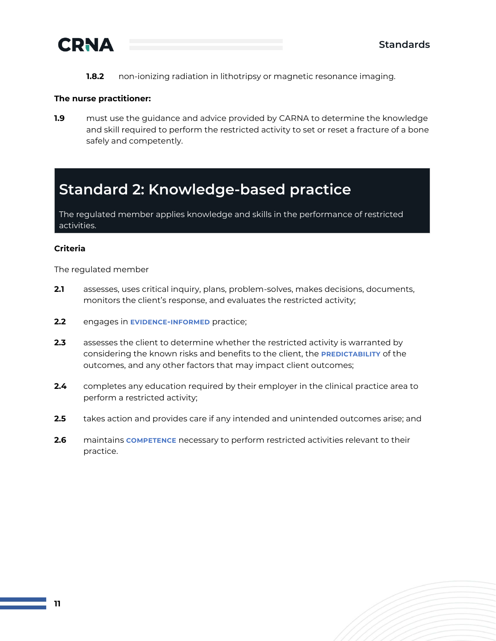

**1.8.2** non-ionizing radiation in lithotripsy or magnetic resonance imaging.

#### **The nurse practitioner:**

**1.9** must use the guidance and advice provided by CARNA to determine the knowledge and skill required to perform the restricted activity to set or reset a fracture of a bone safely and competently.

### <span id="page-10-0"></span>**Standard 2: Knowledge-based practice**

The regulated member applies knowledge and skills in the performance of restricted activities.

#### **Criteria**

The regulated member

- **2.1** assesses, uses critical inquiry, plans, problem-solves, makes decisions, documents, monitors the client's response, and evaluates the restricted activity;
- **2.2** engages in **EVIDENCE-INFORMED** practice;
- **2.3** assesses the client to determine whether the restricted activity is warranted by considering the known risks and benefits to the client, the **PREDICTABILITY** of the outcomes, and any other factors that may impact client outcomes;
- **2.4** completes any education required by their employer in the clinical practice area to perform a restricted activity;
- **2.5** takes action and provides care if any intended and unintended outcomes arise; and
- **2.6** maintains **COMPETENCE** necessary to perform restricted activities relevant to their practice.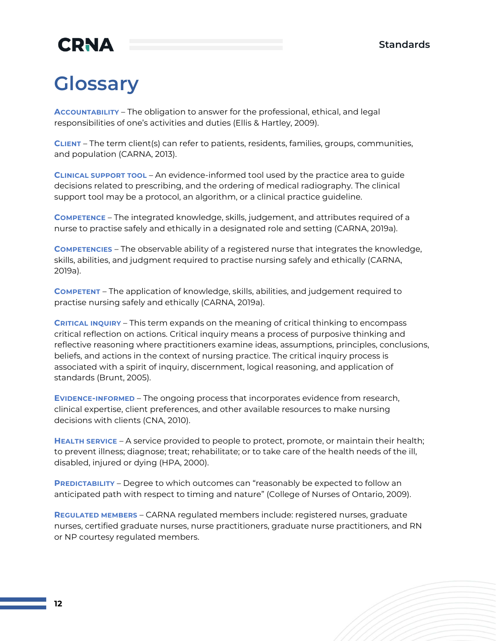## <span id="page-11-0"></span>**Glossary**

**ACCOUNTABILITY** – The obligation to answer for the professional, ethical, and legal responsibilities of one's activities and duties (Ellis & Hartley, 2009).

**CLIENT** – The term client(s) can refer to patients, residents, families, groups, communities, and population (CARNA, 2013).

**CLINICAL SUPPORT TOOL** – An evidence-informed tool used by the practice area to guide decisions related to prescribing, and the ordering of medical radiography. The clinical support tool may be a protocol, an algorithm, or a clinical practice guideline.

**COMPETENCE** – The integrated knowledge, skills, judgement, and attributes required of a nurse to practise safely and ethically in a designated role and setting (CARNA, 2019a).

**COMPETENCIES** – The observable ability of a registered nurse that integrates the knowledge, skills, abilities, and judgment required to practise nursing safely and ethically (CARNA, 2019a).

**COMPETENT** – The application of knowledge, skills, abilities, and judgement required to practise nursing safely and ethically (CARNA, 2019a).

**CRITICAL INQUIRY** – This term expands on the meaning of critical thinking to encompass critical reflection on actions. Critical inquiry means a process of purposive thinking and reflective reasoning where practitioners examine ideas, assumptions, principles, conclusions, beliefs, and actions in the context of nursing practice. The critical inquiry process is associated with a spirit of inquiry, discernment, logical reasoning, and application of standards (Brunt, 2005).

**EVIDENCE-INFORMED** – The ongoing process that incorporates evidence from research, clinical expertise, client preferences, and other available resources to make nursing decisions with clients (CNA, 2010).

**HEALTH SERVICE** – A service provided to people to protect, promote, or maintain their health; to prevent illness; diagnose; treat; rehabilitate; or to take care of the health needs of the ill, disabled, injured or dying (HPA, 2000).

**PREDICTABILITY** – Degree to which outcomes can "reasonably be expected to follow an anticipated path with respect to timing and nature" (College of Nurses of Ontario, 2009).

**REGULATED MEMBERS** – CARNA regulated members include: registered nurses, graduate nurses, certified graduate nurses, nurse practitioners, graduate nurse practitioners, and RN or NP courtesy regulated members.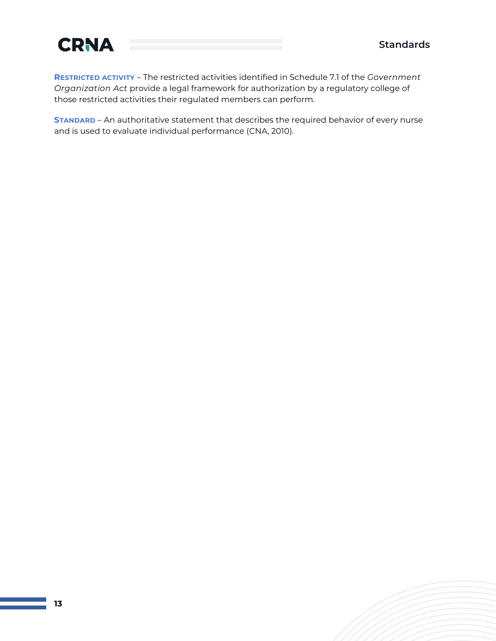

**RESTRICTED ACTIVITY** – The restricted activities identified in Schedule 7.1 of the *Government Organization Act* provide a legal framework for authorization by a regulatory college of those restricted activities their regulated members can perform.

**STANDARD** – An authoritative statement that describes the required behavior of every nurse and is used to evaluate individual performance (CNA, 2010).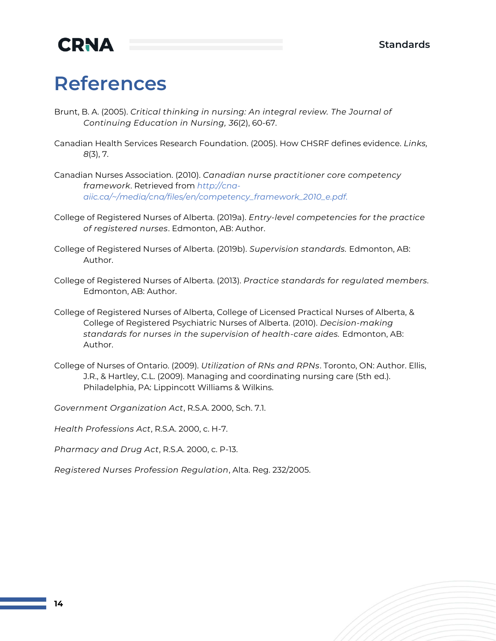### <span id="page-13-0"></span>**References**

- Brunt, B. A. (2005). *Critical thinking in nursing: An integral review. The Journal of Continuing Education in Nursing, 36*(2), 60-67.
- Canadian Health Services Research Foundation. (2005). How CHSRF defines evidence. *Links, 8*(3), 7.
- Canadian Nurses Association. (2010). *Canadian nurse practitioner core competency framework*. Retrieved from *[http://cna](http://cna-aiic.ca/~/media/cna/files/en/competency_framework_2010_e.pdf)[aiic.ca/~/media/cna/files/en/competency\\_framework\\_2010\\_e.pdf.](http://cna-aiic.ca/~/media/cna/files/en/competency_framework_2010_e.pdf)*
- College of Registered Nurses of Alberta. (2019a). *Entry-level competencies for the practice of registered nurses*. Edmonton, AB: Author.
- College of Registered Nurses of Alberta. (2019b). *Supervision standards.* Edmonton, AB: Author.
- College of Registered Nurses of Alberta. (2013). *Practice standards for regulated members.* Edmonton, AB: Author.
- College of Registered Nurses of Alberta, College of Licensed Practical Nurses of Alberta, & College of Registered Psychiatric Nurses of Alberta. (2010). *Decision-making standards for nurses in the supervision of health-care aides.* Edmonton, AB: Author.
- College of Nurses of Ontario. (2009). *Utilization of RNs and RPNs*. Toronto, ON: Author. Ellis, J.R., & Hartley, C.L. (2009). Managing and coordinating nursing care (5th ed.). Philadelphia, PA: Lippincott Williams & Wilkins.
- *Government Organization Act*, R.S.A. 2000, Sch. 7.1.

*Health Professions Act*, R.S.A. 2000, c. H-7.

*Pharmacy and Drug Act*, R.S.A. 2000, c. P-13.

*Registered Nurses Profession Regulation*, Alta. Reg. 232/2005.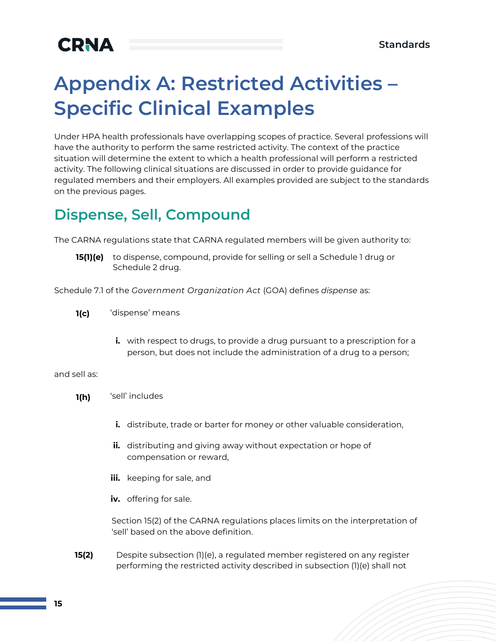## <span id="page-14-0"></span>**Appendix A: Restricted Activities – Specific Clinical Examples**

Under HPA health professionals have overlapping scopes of practice. Several professions will have the authority to perform the same restricted activity. The context of the practice situation will determine the extent to which a health professional will perform a restricted activity. The following clinical situations are discussed in order to provide guidance for regulated members and their employers. All examples provided are subject to the standards on the previous pages.

### <span id="page-14-1"></span>**Dispense, Sell, Compound**

The CARNA regulations state that CARNA regulated members will be given authority to:

**15(1)(e)** to dispense, compound, provide for selling or sell a Schedule 1 drug or Schedule 2 drug.

Schedule 7.1 of the *Government Organization Act* (GOA) defines *dispense* as:

- **1(c)** 'dispense' means
	- **i.** with respect to drugs, to provide a drug pursuant to a prescription for a person, but does not include the administration of a drug to a person;

#### and sell as:

- **1(h)** 'sell' includes
	- **i.** distribute, trade or barter for money or other valuable consideration,
	- **ii.** distributing and giving away without expectation or hope of compensation or reward,
	- **iii.** keeping for sale, and
	- **iv.** offering for sale.

Section 15(2) of the CARNA regulations places limits on the interpretation of 'sell' based on the above definition.

**15(2)** Despite subsection (1)(e), a regulated member registered on any register performing the restricted activity described in subsection (1)(e) shall not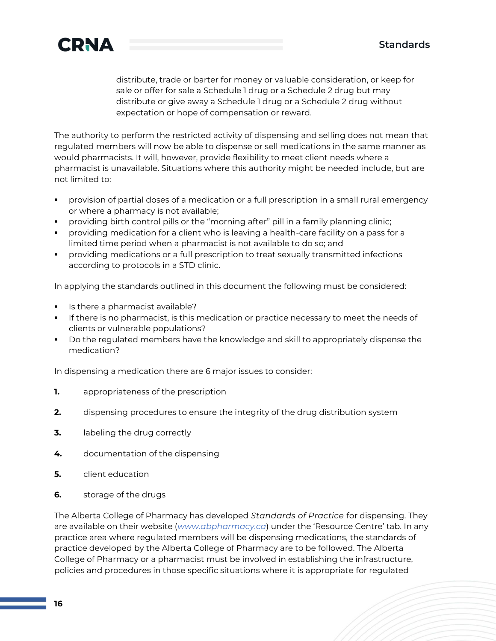

distribute, trade or barter for money or valuable consideration, or keep for sale or offer for sale a Schedule 1 drug or a Schedule 2 drug but may distribute or give away a Schedule 1 drug or a Schedule 2 drug without expectation or hope of compensation or reward.

The authority to perform the restricted activity of dispensing and selling does not mean that regulated members will now be able to dispense or sell medications in the same manner as would pharmacists. It will, however, provide flexibility to meet client needs where a pharmacist is unavailable. Situations where this authority might be needed include, but are not limited to:

- provision of partial doses of a medication or a full prescription in a small rural emergency or where a pharmacy is not available;
- providing birth control pills or the "morning after" pill in a family planning clinic;
- providing medication for a client who is leaving a health-care facility on a pass for a limited time period when a pharmacist is not available to do so; and
- providing medications or a full prescription to treat sexually transmitted infections according to protocols in a STD clinic.

In applying the standards outlined in this document the following must be considered:

- **·** Is there a pharmacist available?
- **•** If there is no pharmacist, is this medication or practice necessary to meet the needs of clients or vulnerable populations?
- Do the regulated members have the knowledge and skill to appropriately dispense the medication?

In dispensing a medication there are 6 major issues to consider:

- **1.** appropriateness of the prescription
- **2.** dispensing procedures to ensure the integrity of the drug distribution system
- **3.** labeling the drug correctly
- **4.** documentation of the dispensing
- **5.** client education
- **6.** storage of the drugs

The Alberta College of Pharmacy has developed *Standards of Practice* for dispensing. They are available on their website (*[www.abpharmacy.ca](http://www.abpharmacy.ca/)*) under the 'Resource Centre' tab. In any practice area where regulated members will be dispensing medications, the standards of practice developed by the Alberta College of Pharmacy are to be followed. The Alberta College of Pharmacy or a pharmacist must be involved in establishing the infrastructure, policies and procedures in those specific situations where it is appropriate for regulated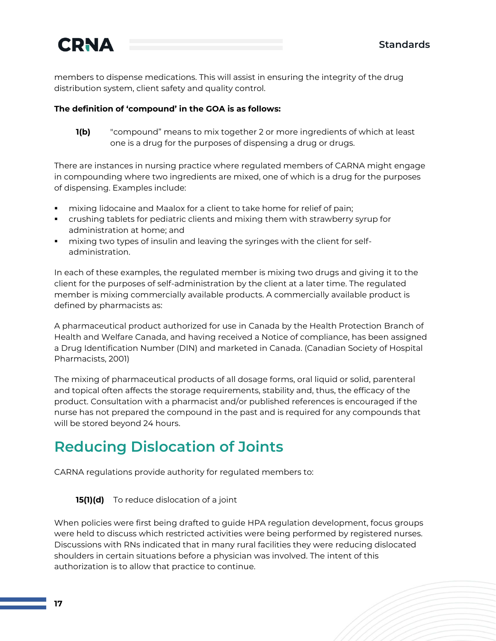

members to dispense medications. This will assist in ensuring the integrity of the drug distribution system, client safety and quality control.

#### **The definition of 'compound' in the GOA is as follows:**

**1(b)** "compound" means to mix together 2 or more ingredients of which at least one is a drug for the purposes of dispensing a drug or drugs.

There are instances in nursing practice where regulated members of CARNA might engage in compounding where two ingredients are mixed, one of which is a drug for the purposes of dispensing. Examples include:

- mixing lidocaine and Maalox for a client to take home for relief of pain;
- crushing tablets for pediatric clients and mixing them with strawberry syrup for administration at home; and
- **•** mixing two types of insulin and leaving the syringes with the client for selfadministration.

In each of these examples, the regulated member is mixing two drugs and giving it to the client for the purposes of self-administration by the client at a later time. The regulated member is mixing commercially available products. A commercially available product is defined by pharmacists as:

A pharmaceutical product authorized for use in Canada by the Health Protection Branch of Health and Welfare Canada, and having received a Notice of compliance, has been assigned a Drug Identification Number (DIN) and marketed in Canada. (Canadian Society of Hospital Pharmacists, 2001)

The mixing of pharmaceutical products of all dosage forms, oral liquid or solid, parenteral and topical often affects the storage requirements, stability and, thus, the efficacy of the product. Consultation with a pharmacist and/or published references is encouraged if the nurse has not prepared the compound in the past and is required for any compounds that will be stored beyond 24 hours.

### <span id="page-16-0"></span>**Reducing Dislocation of Joints**

CARNA regulations provide authority for regulated members to:

**15(1)(d)** To reduce dislocation of a joint

When policies were first being drafted to guide HPA regulation development, focus groups were held to discuss which restricted activities were being performed by registered nurses. Discussions with RNs indicated that in many rural facilities they were reducing dislocated shoulders in certain situations before a physician was involved. The intent of this authorization is to allow that practice to continue.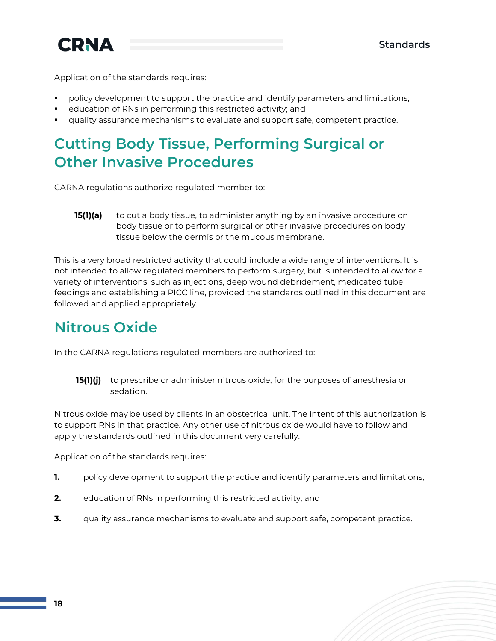

Application of the standards requires:

- policy development to support the practice and identify parameters and limitations;
- education of RNs in performing this restricted activity; and
- quality assurance mechanisms to evaluate and support safe, competent practice.

### <span id="page-17-0"></span>**Cutting Body Tissue, Performing Surgical or Other Invasive Procedures**

CARNA regulations authorize regulated member to:

**15(1)(a)** to cut a body tissue, to administer anything by an invasive procedure on body tissue or to perform surgical or other invasive procedures on body tissue below the dermis or the mucous membrane.

This is a very broad restricted activity that could include a wide range of interventions. It is not intended to allow regulated members to perform surgery, but is intended to allow for a variety of interventions, such as injections, deep wound debridement, medicated tube feedings and establishing a PICC line, provided the standards outlined in this document are followed and applied appropriately.

### <span id="page-17-1"></span>**Nitrous Oxide**

In the CARNA regulations regulated members are authorized to:

**15(1)(j)** to prescribe or administer nitrous oxide, for the purposes of anesthesia or sedation.

Nitrous oxide may be used by clients in an obstetrical unit. The intent of this authorization is to support RNs in that practice. Any other use of nitrous oxide would have to follow and apply the standards outlined in this document very carefully.

Application of the standards requires:

- **1.** policy development to support the practice and identify parameters and limitations;
- **2.** education of RNs in performing this restricted activity; and
- **3.** quality assurance mechanisms to evaluate and support safe, competent practice.